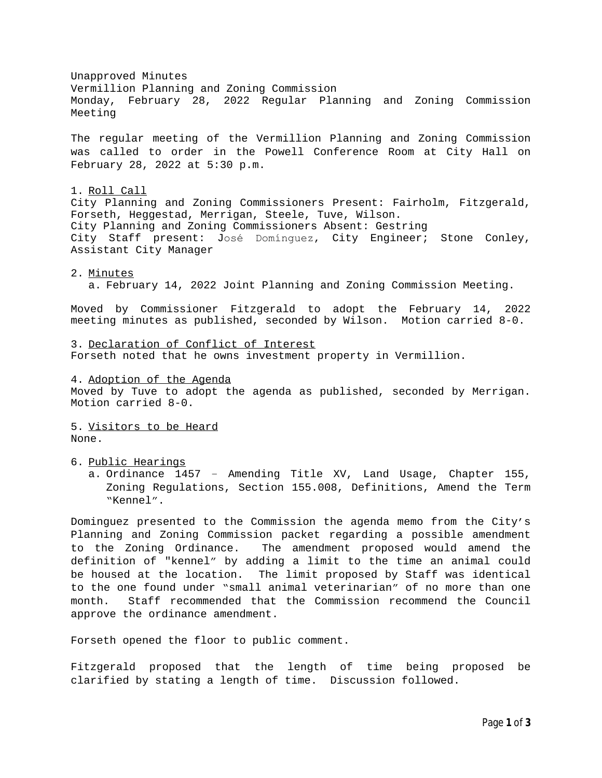Unapproved Minutes Vermillion Planning and Zoning Commission Monday, February 28, 2022 Regular Planning and Zoning Commission Meeting The regular meeting of the Vermillion Planning and Zoning Commission was called to order in the Powell Conference Room at City Hall on February 28, 2022 at 5:30 p.m. 1. Roll Call City Planning and Zoning Commissioners Present: Fairholm, Fitzgerald, Forseth, Heggestad, Merrigan, Steele, Tuve, Wilson. City Planning and Zoning Commissioners Absent: Gestring City Staff present: José Domínguez, City Engineer; Stone Conley, Assistant City Manager 2. Minutes a. February 14, 2022 Joint Planning and Zoning Commission Meeting. Moved by Commissioner Fitzgerald to adopt the February 14, 2022 meeting minutes as published, seconded by Wilson. Motion carried 8-0. 3. Declaration of Conflict of Interest Forseth noted that he owns investment property in Vermillion. 4. Adoption of the Agenda Moved by Tuve to adopt the agenda as published, seconded by Merrigan. Motion carried 8-0. 5. Visitors to be Heard None. 6. Public Hearings a. Ordinance 1457 – Amending Title XV, Land Usage, Chapter 155, Zoning Regulations, Section 155.008, Definitions, Amend the Term "Kennel". Dominguez presented to the Commission the agenda memo from the City's Planning and Zoning Commission packet regarding a possible amendment to the Zoning Ordinance. The amendment proposed would amend the definition of "kennel" by adding a limit to the time an animal could be housed at the location. The limit proposed by Staff was identical to the one found under "small animal veterinarian" of no more than one month. Staff recommended that the Commission recommend the Council approve the ordinance amendment. Forseth opened the floor to public comment.

Fitzgerald proposed that the length of time being proposed be clarified by stating a length of time. Discussion followed.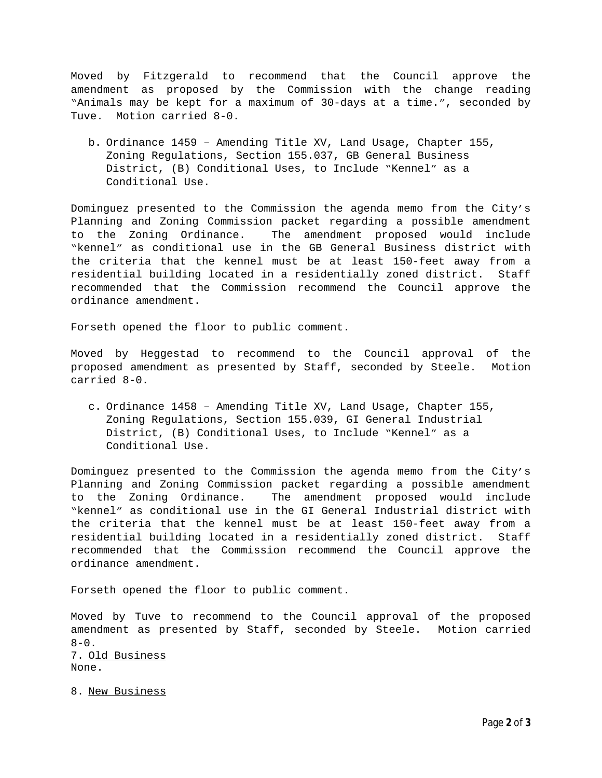Moved by Fitzgerald to recommend that the Council approve the amendment as proposed by the Commission with the change reading "Animals may be kept for a maximum of 30-days at a time.", seconded by Tuve. Motion carried 8-0.

b. Ordinance 1459 – Amending Title XV, Land Usage, Chapter 155, Zoning Regulations, Section 155.037, GB General Business District, (B) Conditional Uses, to Include "Kennel" as a Conditional Use.

Dominguez presented to the Commission the agenda memo from the City's Planning and Zoning Commission packet regarding a possible amendment to the Zoning Ordinance. The amendment proposed would include "kennel" as conditional use in the GB General Business district with the criteria that the kennel must be at least 150-feet away from a residential building located in a residentially zoned district. Staff recommended that the Commission recommend the Council approve the ordinance amendment.

Forseth opened the floor to public comment.

Moved by Heggestad to recommend to the Council approval of the proposed amendment as presented by Staff, seconded by Steele. Motion carried 8-0.

c. Ordinance 1458 – Amending Title XV, Land Usage, Chapter 155, Zoning Regulations, Section 155.039, GI General Industrial District, (B) Conditional Uses, to Include "Kennel" as a Conditional Use.

Dominguez presented to the Commission the agenda memo from the City's Planning and Zoning Commission packet regarding a possible amendment to the Zoning Ordinance. The amendment proposed would include "kennel" as conditional use in the GI General Industrial district with the criteria that the kennel must be at least 150-feet away from a residential building located in a residentially zoned district. Staff recommended that the Commission recommend the Council approve the ordinance amendment.

Forseth opened the floor to public comment.

Moved by Tuve to recommend to the Council approval of the proposed amendment as presented by Staff, seconded by Steele. Motion carried  $8 - 0$ . 7. Old Business None.

8. New Business